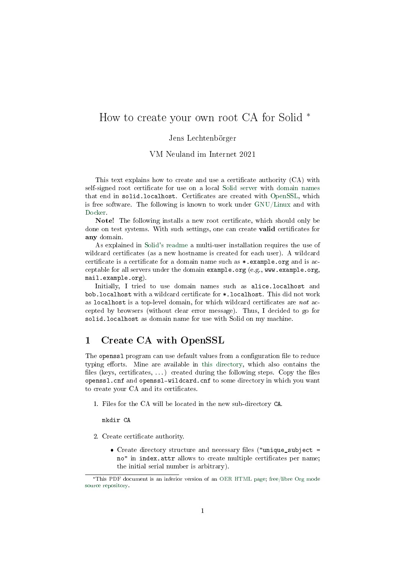# How to create your own root CA for Solid \*

#### Jens Lechtenbörger

VM Neuland im Internet 2021

This text explains how to create and use a certificate authority (CA) with self-signed root certificate for use on a local [Solid server](https://github.com/solid/node-solid-server) with [domain names](../DNS.org) that end in solid.localhost. Certificates are created with [OpenSSL,](https://www.openssl.org/) which is free software. The following is known to work under [GNU/Linux](https://www.getgnulinux.org/en/switch_to_linux/) and with [Docker.](../Docker.org)

Note! The following installs a new root certificate, which should only be done on test systems. With such settings, one can create **valid** certificates for any domain.

As explained in [Solid's readme](https://github.com/solid/node-solid-server#run-multi-user-server-intermediate) a multi-user installation requires the use of wildcard certificates (as a new hostname is created for each user). A wildcard certificate is a certificate for a domain name such as \*.example.org and is acceptable for all servers under the domain example.org (e.g., www.example.org, mail.example.org).

Initially, I tried to use domain names such as alice.localhost and bob.localhost with a wildcard certificate for \*.localhost. This did not work as localhost is a top-level domain, for which wildcard certificates are not accepted by browsers (without clear error message). Thus, I decided to go for solid.localhost as domain name for use with Solid on my machine.

# 1 Create CA with OpenSSL

The openss1 program can use default values from a configuration file to reduce typing efforts. Mine are available in [this directory,](https://gitlab.com/oer/oer-courses/vm-neuland/tree/master/certs) which also contains the files (keys, certificates,  $\dots$ ) created during the following steps. Copy the files openssl.cnf and openssl-wildcard.cnf to some directory in which you want to create your CA and its certificates.

1. Files for the CA will be located in the new sub-directory CA.

mkdir CA

- 2. Create certificate authority.
	- Create directory structure and necessary files ("unique\_subject = no" in index.attr allows to create multiple certificates per name; the initial serial number is arbitrary).

<sup>\*</sup>This PDF document is an inferior version of an [OER HTML page;](https://oer.gitlab.io/oer-courses/vm-neuland/texts-en/create-root-CA.html) [free/libre Org mode](https://gitlab.com/oer/oer-courses/vm-neuland) [source repository.](https://gitlab.com/oer/oer-courses/vm-neuland)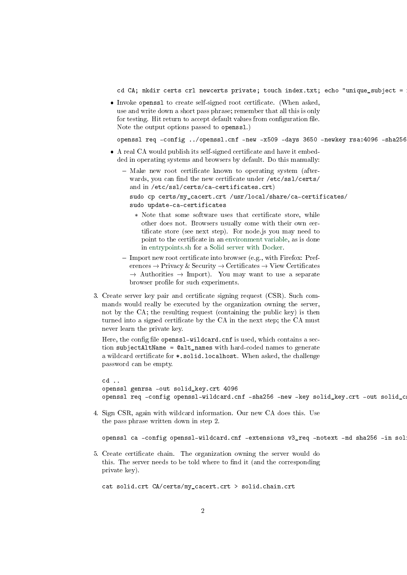cd CA; mkdir certs crl newcerts private; touch index.txt; echo "unique\_subject =

• Invoke openss1 to create self-signed root certificate. (When asked, use and write down a short pass phrase; remember that all this is only for testing. Hit return to accept default values from configuration file. Note the output options passed to openssl.)

openssl req -config ../openssl.cnf -new -x509 -days 3650 -newkey rsa:4096 -sha256

- A real CA would publish its self-signed certificate and have it embedded in operating systems and browsers by default. Do this manually:
	- $-$  Make new root certificate known to operating system (afterwards, you can find the new certificate under /etc/ssl/certs/ and in /etc/ssl/certs/ca-certificates.crt) sudo cp certs/my\_cacert.crt /usr/local/share/ca-certificates/ sudo update-ca-certificates \* Note that some software uses that certificate store, while
		- other does not. Browsers usually come with their own certificate store (see next step). For node js you may need to point to the certificate in an [environment variable,](https://nodejs.org/api/cli.html#cli_node_extra_ca_certs_file) as is done in [entrypoints.sh](https://gitlab.com/oer/cs/docker-solid/blob/master/entrypoint.sh) for a [Solid server with Docker.](https://gitlab.com/oer/cs/docker-solid)
	- $-$  Import new root certificate into browser (e.g., with Firefox: Preferences  $\rightarrow$  Privacy & Security  $\rightarrow$  Certificates  $\rightarrow$  View Certificates  $\rightarrow$  Authorities  $\rightarrow$  Import). You may want to use a separate browser profile for such experiments.
- 3. Create server key pair and certificate signing request (CSR). Such commands would really be executed by the organization owning the server, not by the CA; the resulting request (containing the public key) is then turned into a signed certificate by the CA in the next step; the CA must never learn the private key.

Here, the config file openssl-wildcard.cnf is used, which contains a section subjectAltName = @alt\_names with hard-coded names to generate a wildcard certificate for \*.solid.localhost. When asked, the challenge password can be empty.

```
cd ..
openssl genrsa -out solid_key.crt 4096
openssl req -config openssl-wildcard.cnf -sha256 -new -key solid_key.crt -out solid_c
```
4. Sign CSR, again with wildcard information. Our new CA does this. Use the pass phrase written down in step 2.

openssl ca -config openssl-wildcard.cnf -extensions v3\_req -notext -md sha256 -in sol

5. Create certicate chain. The organization owning the server would do this. The server needs to be told where to find it (and the corresponding private key).

cat solid.crt CA/certs/my\_cacert.crt > solid.chain.crt